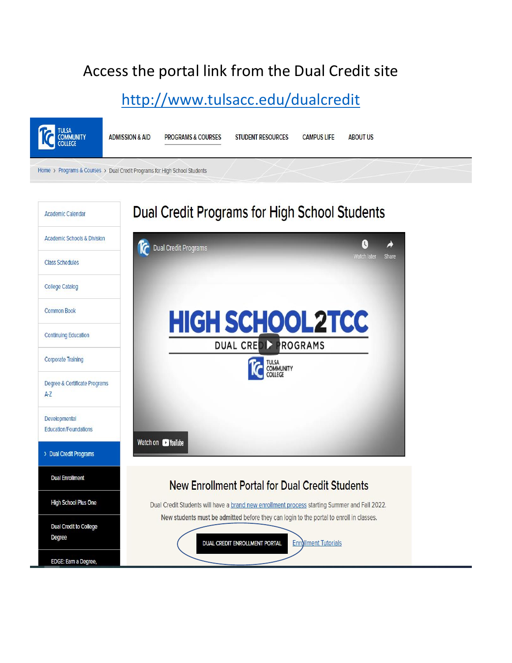## Access the portal link from the Dual Credit site

## <http://www.tulsacc.edu/dualcredit>

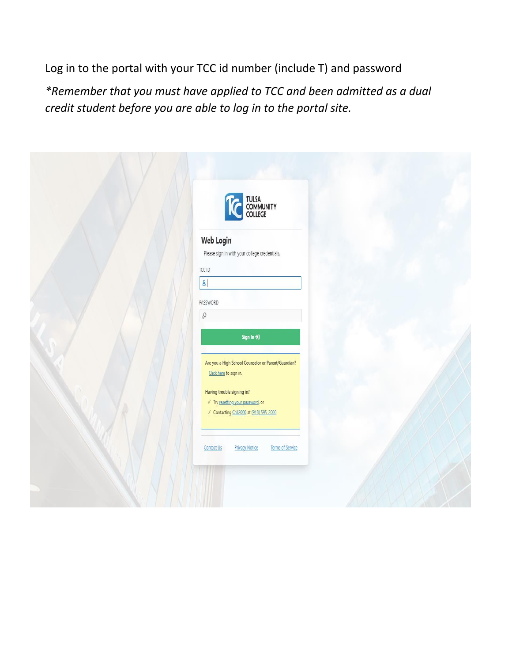Log in to the portal with your TCC id number (include T) and password

*\*Remember that you must have applied to TCC and been admitted as a dual credit student before you are able to log in to the portal site.* 

| THE TULSA COMMUNITY                                                                       |  |
|-------------------------------------------------------------------------------------------|--|
| Web Login<br>Please sign in with your college credentials.                                |  |
| TCC ID<br>$\mathsf{B}$                                                                    |  |
| PASSWORD<br>$\mathcal{O}% _{M_{1},M_{2}}^{(h,\sigma),(h,\sigma)}(-\varepsilon)$           |  |
| Sign In $\rightarrow$<br>Are you a High School Counselor or Parent/Guardian?              |  |
| Click here to sign in.<br>Having trouble signing in?<br>√ Try resetting your password, or |  |
| √ Contacting Call2000 at (918) 595-2000                                                   |  |
| <b>Privacy Notice</b><br>Terms of Service<br>Contact Us                                   |  |
|                                                                                           |  |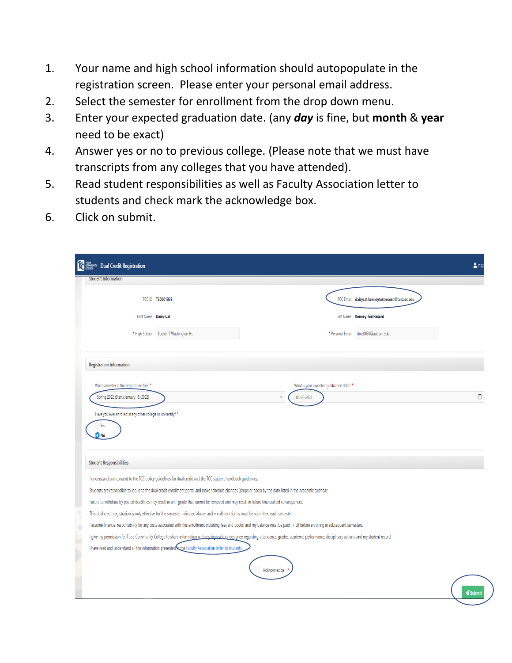- 1. Your name and high school information should autopopulate in the registration screen. Please enter your personal email address.
- 2. Select the semester for enrollment from the drop down menu.
- 3. Enter your expected graduation date. (any *day* is fine, but **month** & **year** need to be exact)
- 4. Answer yes or no to previous college. (Please note that we must have transcripts from any colleges that you have attended).
- 5. Read student responsibilities as well as Faculty Association letter to students and check mark the acknowledge box.
- 6. Click on submit.

| <b>Dual Credit Registration</b>           |                                                                                                                                              |                                                                                                                                                                                                     |                                                 | <b>&amp; T102</b> |
|-------------------------------------------|----------------------------------------------------------------------------------------------------------------------------------------------|-----------------------------------------------------------------------------------------------------------------------------------------------------------------------------------------------------|-------------------------------------------------|-------------------|
| <b>Student Information</b>                |                                                                                                                                              |                                                                                                                                                                                                     |                                                 |                   |
|                                           | TCC ID T20001335                                                                                                                             |                                                                                                                                                                                                     | TCC Email daisycat.kenneytestrecord@tulsacc.edu |                   |
| First Name Daisy-Cat                      |                                                                                                                                              |                                                                                                                                                                                                     | Last Name Kenney-TestRecord                     |                   |
| * High School                             | Booker T Washington Hs                                                                                                                       | * Personal Email                                                                                                                                                                                    | dma0030@auburn.edu                              |                   |
| <b>Registration Information</b>           |                                                                                                                                              |                                                                                                                                                                                                     |                                                 |                   |
| What semester is this registration for? * |                                                                                                                                              | What is your expected graduation date? *                                                                                                                                                            |                                                 |                   |
| Spring 2022 (Starts January 18, 2022)     |                                                                                                                                              | $\vee$<br>05-20-2023                                                                                                                                                                                |                                                 | $\Box$            |
| <b>Student Responsibilities</b>           |                                                                                                                                              |                                                                                                                                                                                                     |                                                 |                   |
|                                           | I understand and consent to the TCC policy quidelines for dual credit and the TCC student handbook quidelines.                               |                                                                                                                                                                                                     |                                                 |                   |
|                                           |                                                                                                                                              | Students are responsible to log in to the dual credit enrollment portal and make schedule changes (drops or adds) by the date listed in the academic calendar.                                      |                                                 |                   |
|                                           | Failure to withdraw by posted deadlines may result in an F grade that cannot be removed and may result in future financial aid consequences. |                                                                                                                                                                                                     |                                                 |                   |
|                                           | This dual credit registration is only effective for the semester indicated above, and enrollment forms must be submitted each semester.      |                                                                                                                                                                                                     |                                                 |                   |
|                                           |                                                                                                                                              | I assume financial responsibility for any costs associated with this enrollment including fees and books, and my balance must be paid in full before enrolling in subsequent semesters.             |                                                 |                   |
|                                           |                                                                                                                                              | I give my permission for Tulsa Community College to share information with my high school designee regarding attendance, grades, academic performance, disciplinary actions, and my student record. |                                                 |                   |
|                                           | I have read and understand all the information presented to the Faculty Association letter to students.                                      |                                                                                                                                                                                                     |                                                 |                   |
|                                           |                                                                                                                                              | Acknowledge                                                                                                                                                                                         |                                                 |                   |
|                                           |                                                                                                                                              |                                                                                                                                                                                                     |                                                 | Submit            |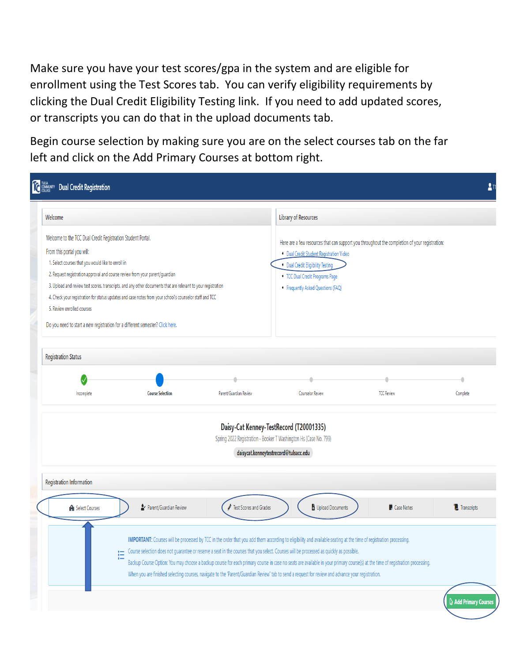Make sure you have your test scores/gpa in the system and are eligible for enrollment using the Test Scores tab. You can verify eligibility requirements by clicking the Dual Credit Eligibility Testing link. If you need to add updated scores, or transcripts you can do that in the upload documents tab.

Begin course selection by making sure you are on the select courses tab on the far left and click on the Add Primary Courses at bottom right.

| Welcome                                                                       |                                                                                                               |                        | <b>Library of Resources</b>                                                                                                                                                                                                                                                                                                                                                                                                                                                                   |                     |                                         |
|-------------------------------------------------------------------------------|---------------------------------------------------------------------------------------------------------------|------------------------|-----------------------------------------------------------------------------------------------------------------------------------------------------------------------------------------------------------------------------------------------------------------------------------------------------------------------------------------------------------------------------------------------------------------------------------------------------------------------------------------------|---------------------|-----------------------------------------|
| Welcome to the TCC Dual Credit Registration Student Portal.                   |                                                                                                               |                        | Here are a few resources that can support you throughout the completion of your registration:                                                                                                                                                                                                                                                                                                                                                                                                 |                     |                                         |
| From this portal you will:                                                    |                                                                                                               |                        | · Dual Credit Student Registration Video                                                                                                                                                                                                                                                                                                                                                                                                                                                      |                     |                                         |
| 1. Select courses that you would like to enroll in                            |                                                                                                               |                        | · Dual Credit Eligibility Testing                                                                                                                                                                                                                                                                                                                                                                                                                                                             |                     |                                         |
| 2. Request registration approval and course review from your parent/guardian  |                                                                                                               |                        | • TCC Dual Credit Programs Page                                                                                                                                                                                                                                                                                                                                                                                                                                                               |                     |                                         |
|                                                                               | 3. Upload and review test scores, transcripts, and any other documents that are relevant to your registration |                        | • Frequently Asked Questions (FAQ)                                                                                                                                                                                                                                                                                                                                                                                                                                                            |                     |                                         |
|                                                                               | 4. Check your registration for status updates and case notes from your school's counselor staff and TCC       |                        |                                                                                                                                                                                                                                                                                                                                                                                                                                                                                               |                     |                                         |
| 5. Review enrolled courses                                                    |                                                                                                               |                        |                                                                                                                                                                                                                                                                                                                                                                                                                                                                                               |                     |                                         |
| Do you need to start a new registration for a different semester? Click here. |                                                                                                               |                        |                                                                                                                                                                                                                                                                                                                                                                                                                                                                                               |                     |                                         |
|                                                                               |                                                                                                               |                        |                                                                                                                                                                                                                                                                                                                                                                                                                                                                                               |                     |                                         |
| <b>Registration Status</b>                                                    |                                                                                                               |                        |                                                                                                                                                                                                                                                                                                                                                                                                                                                                                               |                     |                                         |
|                                                                               |                                                                                                               |                        |                                                                                                                                                                                                                                                                                                                                                                                                                                                                                               |                     |                                         |
|                                                                               |                                                                                                               |                        |                                                                                                                                                                                                                                                                                                                                                                                                                                                                                               |                     |                                         |
| Incomplete                                                                    | <b>Course Selection</b>                                                                                       | Parent/Guardian Review | <b>Counselor Review</b>                                                                                                                                                                                                                                                                                                                                                                                                                                                                       | <b>TCC Review</b>   | Complete                                |
|                                                                               |                                                                                                               |                        | Daisy-Cat Kenney-TestRecord (T20001335)<br>Spring 2022 Registration - Booker T Washington Hs (Case No. 799)<br>daisycat.kenneytestrecord@tulsacc.edu                                                                                                                                                                                                                                                                                                                                          |                     |                                         |
| <b>Registration Information</b>                                               |                                                                                                               |                        |                                                                                                                                                                                                                                                                                                                                                                                                                                                                                               |                     |                                         |
| IAI Select Courses                                                            | Py Parent/Guardian Review                                                                                     | Fest Scores and Grades | Upload Documents                                                                                                                                                                                                                                                                                                                                                                                                                                                                              | <b>D</b> Case Notes | <sup>'</sup> / <sub>-</sub> Transcripts |
|                                                                               | Ε                                                                                                             |                        | IMPORTANT: Courses will be processed by TCC in the order that you add them according to eligibility and available seating at the time of registration processing.<br>Course selection does not guarantee or reserve a seat in the courses that you select. Courses will be processed as quickly as possible.<br>Backup Course Option: You may choose a backup course for each primary course in case no seats are available in your primary course(s) at the time of registration processing. |                     |                                         |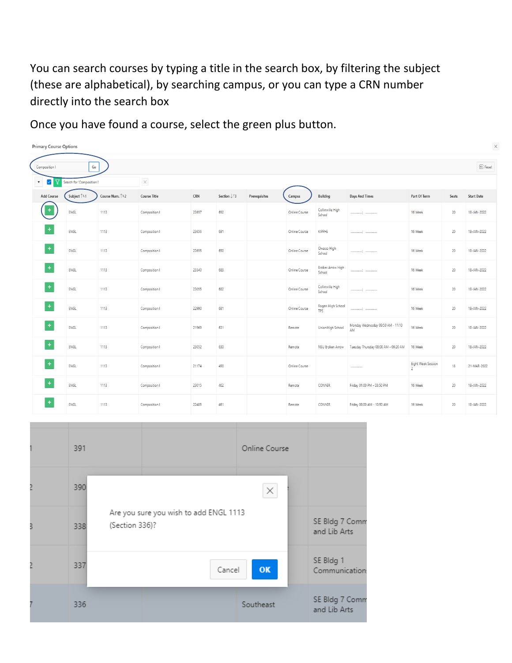You can search courses by typing a title in the search box, by filtering the subject (these are alphabetical), by searching campus, or you can type a CRN number directly into the search box

Once you have found a course, select the green plus button.

| <b>Primary Course Options</b>                        |                                                    |                             |                     |       |                               |               |                      |                             |                                         |                                      |        | $\times$          |
|------------------------------------------------------|----------------------------------------------------|-----------------------------|---------------------|-------|-------------------------------|---------------|----------------------|-----------------------------|-----------------------------------------|--------------------------------------|--------|-------------------|
| Composition I                                        | $\mathsf{G}\mathsf{o}$                             |                             |                     |       |                               |               |                      |                             |                                         |                                      |        | $\boxdot$ Reset   |
| $\checkmark$<br>$\rm V$<br>$\boldsymbol{\mathrm{v}}$ | Search for 'Composition I'                         |                             | $\times$            |       |                               |               |                      |                             |                                         |                                      |        |                   |
| Add Course                                           | Subject $\mathord{\uparrow}\varepsilon\mathord{1}$ | Course Num. <sup>↑</sup> =2 | <b>Course Title</b> | CRN   | Section $\downarrow \equiv 3$ | Prerequisites | Campus               | Building                    | <b>Days And Times</b>                   | Part Of Term                         | Seats  | <b>Start Date</b> |
| ÷                                                    | ENGL                                               | 1113                        | Composition I       | 23657 | 692                           |               | <b>Online Course</b> | Collinsville High<br>School |                                         | 16 Week                              | 20     | 18-JAN-2022       |
| $\ddot{}$                                            | ENGL                                               | 1113                        | Composition I       | 23656 | 691                           |               | Online Course        | KIPPHS                      |                                         | 16 Week                              | $20\,$ | 18-JAN-2022       |
| $\pm$                                                | ENGL                                               | 1113                        | Composition I       | 23655 | 690                           |               | Online Course        | Owasso High<br>School       |                                         | 16 Week                              | 20     | 18-JAN-2022       |
| $\ddot{}$                                            | ENGL                                               | 1113                        | Composition I       | 23340 | 683                           |               | Online Course        | Broken Arrow High<br>School |                                         | 16 Week                              | 20     | 18-JAN-2022       |
| $\ddot{}$                                            | ENGL                                               | 1113                        | Composition I       | 23055 | 682                           |               | Online Course        | Collinsville High<br>School |                                         | 16 Week                              | $20\,$ | 18-JAN-2022       |
| $\ddot{}$                                            | ENGL                                               | 1113                        | Composition I       | 22990 | 681                           |               | Online Course        | Rogers High School<br>TPS   |                                         | 16 Week                              | $20\,$ | 18-JAN-2022       |
| $\ddot{}$                                            | ENGL                                               | 1113                        | Composition I       | 21969 | 631                           |               | Remote               | Union High School           | Monday Wednesday 09:50 AM - 11:10<br>AM | 16 Week                              | 20     | 18-JAN-2022       |
| $\ddot{}$                                            | ENGL                                               | 1113                        | Composition I       | 23052 | 630                           |               | Remote               | NSU Broken Arrow            | Tuesday Thursday 08:00 AM - 09:20 AM    | 16 Week                              | $20\,$ | 18-JAN-2022       |
| $\ddot{}$                                            | ENGL                                               | 1113                        | Composition I       | 21174 | 490                           |               | Online Course        |                             |                                         | Eight Week Session<br>$\overline{c}$ | $18$   | 21-MAR-2022       |
| $\ddot{}$                                            | ENGL                                               | 1113                        | Composition I       | 23015 | 462                           |               | Remote               | CONNER                      | Friday 01:00 PM - 03:50 PM              | 16 Week                              | 20     | 18-JAN-2022       |
| ÷                                                    | ENGL                                               | 1113                        | Composition I       | 22485 | 461                           |               | Remote               | CONNER                      | Friday 08:00 AM - 10:50 AM              | 16 Week                              | 20     | 18-JAN-2022       |

|   | 391 |                |                                        | Online Course |                                |
|---|-----|----------------|----------------------------------------|---------------|--------------------------------|
|   | 390 |                |                                        | $\times$      |                                |
| 3 | 338 | (Section 336)? | Are you sure you wish to add ENGL 1113 |               | SE Bldg 7 Comr<br>and Lib Arts |
|   | 337 |                | Cancel                                 | OK            | SE Bldg 1<br>Communication     |
|   | 336 |                |                                        | Southeast     | SE Bldg 7 Comr<br>and Lib Arts |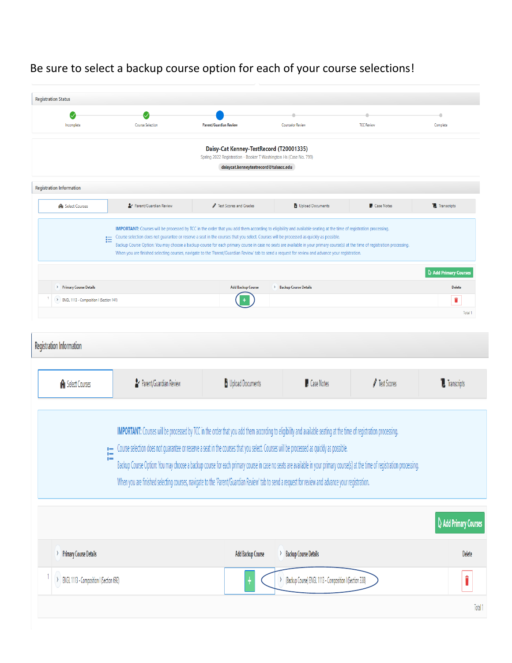## Be sure to select a backup course option for each of your course selections!

| <b>Registration Status</b>                               |                                                                                                                                         |                                                                                                                                                                                                                                                                                                                                                                                                                                                                                                                                                                                                                                                    |                                                           |                   |                                         |
|----------------------------------------------------------|-----------------------------------------------------------------------------------------------------------------------------------------|----------------------------------------------------------------------------------------------------------------------------------------------------------------------------------------------------------------------------------------------------------------------------------------------------------------------------------------------------------------------------------------------------------------------------------------------------------------------------------------------------------------------------------------------------------------------------------------------------------------------------------------------------|-----------------------------------------------------------|-------------------|-----------------------------------------|
| $\checkmark$                                             |                                                                                                                                         |                                                                                                                                                                                                                                                                                                                                                                                                                                                                                                                                                                                                                                                    |                                                           | ۰                 | $\bullet$                               |
| Incomplete                                               | <b>Course Selection</b>                                                                                                                 | <b>Parent/Guardian Review</b>                                                                                                                                                                                                                                                                                                                                                                                                                                                                                                                                                                                                                      | Counselor Review                                          | <b>TCC Review</b> | Complete                                |
|                                                          |                                                                                                                                         | Daisy-Cat Kenney-TestRecord (T20001335)                                                                                                                                                                                                                                                                                                                                                                                                                                                                                                                                                                                                            |                                                           |                   |                                         |
|                                                          |                                                                                                                                         | Spring 2022 Registration - Booker T Washington Hs (Case No. 799)                                                                                                                                                                                                                                                                                                                                                                                                                                                                                                                                                                                   |                                                           |                   |                                         |
|                                                          |                                                                                                                                         | daisycat.kenneytestrecord@tulsacc.edu                                                                                                                                                                                                                                                                                                                                                                                                                                                                                                                                                                                                              |                                                           |                   |                                         |
| <b>Registration Information</b>                          |                                                                                                                                         |                                                                                                                                                                                                                                                                                                                                                                                                                                                                                                                                                                                                                                                    |                                                           |                   |                                         |
| <b>IAI</b> Select Courses                                | Parent/Guardian Review                                                                                                                  | Fest Scores and Grades                                                                                                                                                                                                                                                                                                                                                                                                                                                                                                                                                                                                                             | Upload Documents                                          | <b>Case Notes</b> | Transcripts                             |
|                                                          | 油                                                                                                                                       | IMPORTANT: Courses will be processed by TCC in the order that you add them according to eligibility and available seating at the time of registration processing.<br>Course selection does not guarantee or reserve a seat in the courses that you select. Courses will be processed as quickly as possible.<br>Backup Course Option: You may choose a backup course for each primary course in case no seats are available in your primary course(s) at the time of registration processing.<br>When you are finished selecting courses, navigate to the 'Parent/Guardian Review' tab to send a request for review and advance your registration. |                                                           |                   |                                         |
|                                                          |                                                                                                                                         |                                                                                                                                                                                                                                                                                                                                                                                                                                                                                                                                                                                                                                                    |                                                           |                   | <b>Q</b> Add Primary Courses            |
| <b>Primary Course Details</b><br>$\sum_{i=1}^{n}$        |                                                                                                                                         | <b>Add Backup Course</b>                                                                                                                                                                                                                                                                                                                                                                                                                                                                                                                                                                                                                           | > Backup Course Details                                   |                   | <b>Delete</b>                           |
| ENGL 1113 - Composition I (Section 141)<br>$\rightarrow$ |                                                                                                                                         |                                                                                                                                                                                                                                                                                                                                                                                                                                                                                                                                                                                                                                                    |                                                           |                   | î                                       |
|                                                          |                                                                                                                                         |                                                                                                                                                                                                                                                                                                                                                                                                                                                                                                                                                                                                                                                    |                                                           |                   |                                         |
|                                                          |                                                                                                                                         |                                                                                                                                                                                                                                                                                                                                                                                                                                                                                                                                                                                                                                                    |                                                           |                   |                                         |
| <b>IAI</b> Select Courses                                | Parent/Guardian Review                                                                                                                  | Upload Documents                                                                                                                                                                                                                                                                                                                                                                                                                                                                                                                                                                                                                                   | <b>D</b> Case Notes                                       | Fest Scores       |                                         |
| <b>Registration Information</b>                          |                                                                                                                                         |                                                                                                                                                                                                                                                                                                                                                                                                                                                                                                                                                                                                                                                    |                                                           |                   | <sup>'</sup> / <sub>-</sub> Transcripts |
|                                                          | Course selection does not guarantee or reserve a seat in the courses that you select. Courses will be processed as quickly as possible. | IMPORTANT: Courses will be processed by TCC in the order that you add them according to eligibility and available seating at the time of registration processing.<br>Backup Course Option: You may choose a backup course for each primary course in case no seats are available in your primary course(s) at the time of registration processing.<br>When you are finished selecting courses, navigate to the 'Parent/Guardian Review' tab to send a request for review and advance your registration.                                                                                                                                            |                                                           |                   |                                         |
|                                                          |                                                                                                                                         |                                                                                                                                                                                                                                                                                                                                                                                                                                                                                                                                                                                                                                                    |                                                           |                   |                                         |
| > Primary Course Details                                 |                                                                                                                                         | Add Backup Course                                                                                                                                                                                                                                                                                                                                                                                                                                                                                                                                                                                                                                  | > Backup Course Details                                   |                   | Add Primary Courses<br>Delete           |
| ENGL 1113 - Composition I (Section 692)<br>$\rangle$     |                                                                                                                                         |                                                                                                                                                                                                                                                                                                                                                                                                                                                                                                                                                                                                                                                    | > (Backup Course) ENGL 1113 - Composition I (Section 338) |                   |                                         |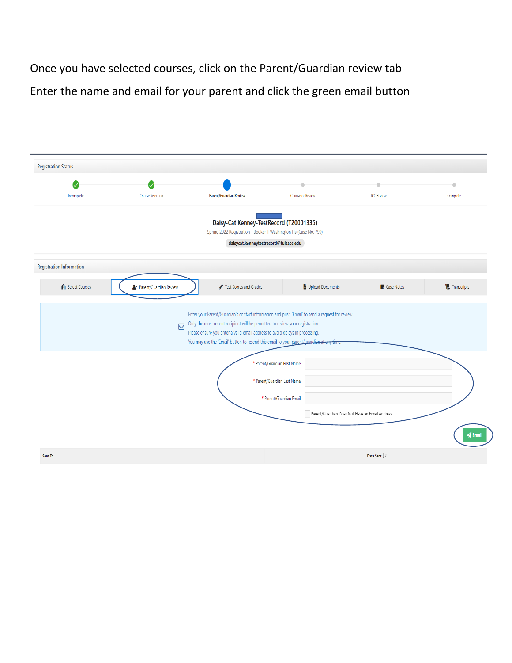Once you have selected courses, click on the Parent/Guardian review tab Enter the name and email for your parent and click the green email button

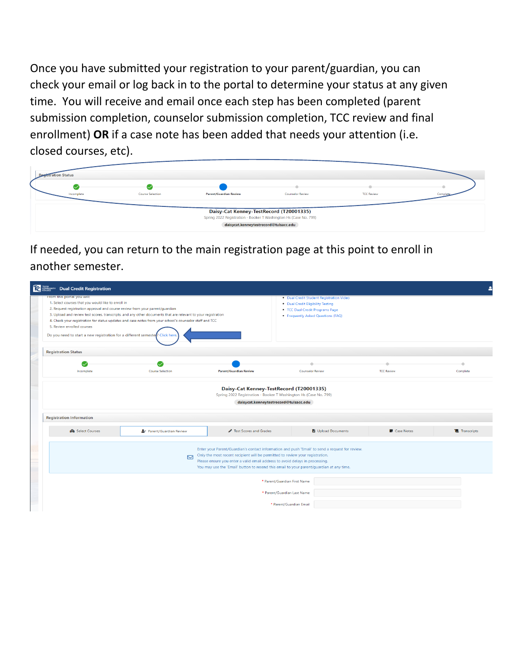Once you have submitted your registration to your parent/guardian, you can check your email or log back in to the portal to determine your status at any given time. You will receive and email once each step has been completed (parent submission completion, counselor submission completion, TCC review and final enrollment) **OR** if a case note has been added that needs your attention (i.e. closed courses, etc).

| <b>Registration Status</b> |                         |                                                                                                                                                      |                         |                   |           |
|----------------------------|-------------------------|------------------------------------------------------------------------------------------------------------------------------------------------------|-------------------------|-------------------|-----------|
| $\sim$<br>Incomplete       | <b>Course Selection</b> | <b>Parent/Guardian Review</b>                                                                                                                        | <b>Counselor Review</b> | <b>TCC Review</b> | Complete. |
|                            |                         | Daisy-Cat Kenney-TestRecord (T20001335)<br>Spring 2022 Registration - Booker T Washington Hs (Case No. 799)<br>daisycat.kenneytestrecord@tulsacc.edu |                         |                   |           |

If needed, you can return to the main registration page at this point to enroll in another semester.

| <b>TC</b> BRANCHITY Dual Credit Registration                                                                                                                                                                                                                                   |                                                                                                                                                                                                                          |                                                                                                                                                               |                                                                                                                                                                                             |                     |                    |
|--------------------------------------------------------------------------------------------------------------------------------------------------------------------------------------------------------------------------------------------------------------------------------|--------------------------------------------------------------------------------------------------------------------------------------------------------------------------------------------------------------------------|---------------------------------------------------------------------------------------------------------------------------------------------------------------|---------------------------------------------------------------------------------------------------------------------------------------------------------------------------------------------|---------------------|--------------------|
| From this portal you will:<br>1. Select courses that you would like to enroll in<br>2. Request registration approval and course review from your parent/guardian<br>5. Review enrolled courses<br>Do you need to start a new registration for a different semester? Click here | 3. Upload and review test scores, transcripts, and any other documents that are relevant to your registration<br>4. Check your registration for status updates and case notes from your school's counselor staff and TCC |                                                                                                                                                               | . Dual Credit Student Registration Video<br>• Dual Credit Eligibility Testing<br>• TCC Dual Credit Programs Page<br>• Frequently Asked Questions (FAQ)                                      |                     |                    |
| <b>Registration Status</b>                                                                                                                                                                                                                                                     |                                                                                                                                                                                                                          |                                                                                                                                                               |                                                                                                                                                                                             |                     |                    |
| Incomplete                                                                                                                                                                                                                                                                     | <b>Course Selection</b>                                                                                                                                                                                                  | <b>Parent/Guardian Review</b>                                                                                                                                 | <b>Counselor Review</b>                                                                                                                                                                     | <b>TCC Review</b>   | ٠<br>Complete      |
|                                                                                                                                                                                                                                                                                |                                                                                                                                                                                                                          | Daisy-Cat Kenney-TestRecord (T20001335)<br>Spring 2022 Registration - Booker T Washington Hs (Case No. 799)<br>daisycat.kenneytestrecord@tulsacc.edu          |                                                                                                                                                                                             |                     |                    |
| <b>Registration Information</b><br><b>IAI</b> Select Courses                                                                                                                                                                                                                   | Parent/Guardian Review                                                                                                                                                                                                   | Fest Scores and Grades                                                                                                                                        | Upload Documents                                                                                                                                                                            | <b>D</b> Case Notes | <b>Transcripts</b> |
|                                                                                                                                                                                                                                                                                | $\boxtimes$                                                                                                                                                                                                              | Only the most recent recipient will be permitted to review your registration.<br>Please ensure you enter a valid email address to avoid delays in processing. | Enter your Parent/Guardian's contact information and push 'Email' to send a request for review.<br>You may use the 'Email' button to resend this email to your parent/quardian at any time. |                     |                    |
|                                                                                                                                                                                                                                                                                |                                                                                                                                                                                                                          |                                                                                                                                                               | * Parent/Guardian First Name<br>* Parent/Guardian Last Name                                                                                                                                 |                     |                    |
|                                                                                                                                                                                                                                                                                |                                                                                                                                                                                                                          |                                                                                                                                                               | * Parent/Guardian Email                                                                                                                                                                     |                     |                    |